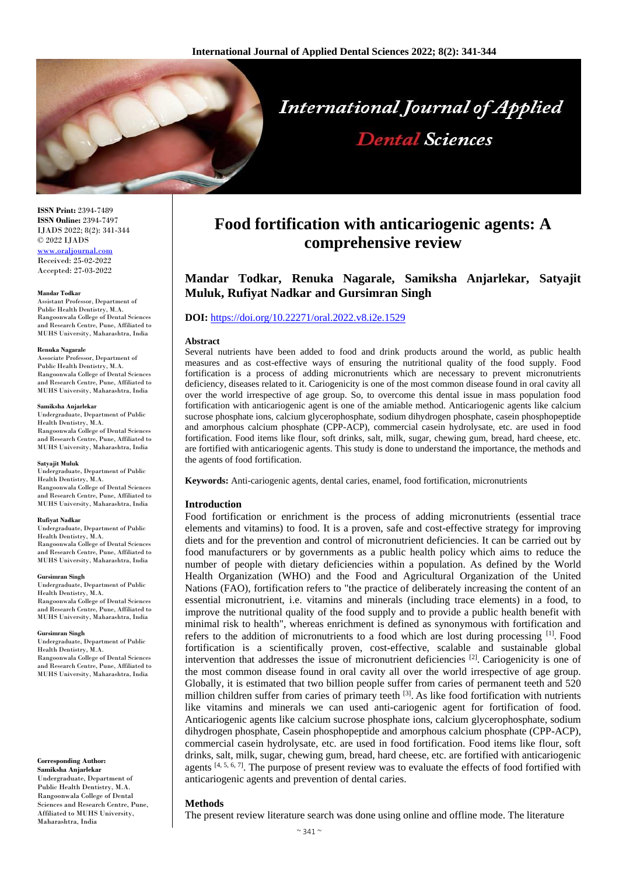

**ISSN Print:** 2394-7489 **ISSN Online:** 2394-7497 IJADS 2022; 8(2): 341-344 © 2022 IJADS [www.oraljournal.com](http://www.oraljournal.com/)

Received: 25-02-2022 Accepted: 27-03-2022

#### **Mandar Todkar**

Assistant Professor, Department of Public Health Dentistry, M.A. Rangoonwala College of Dental Sciences and Research Centre, Pune, Affiliated to MUHS University, Maharashtra, India

#### **Renuka Nagarale**

Associate Professor, Department of Public Health Dentistry, M.A. Rangoonwala College of Dental Sciences and Research Centre, Pune, Affiliated to MUHS University, Maharashtra, India

#### **Samiksha Anjarlekar**

Undergraduate, Department of Public Health Dentistry, M.A. Rangoonwala College of Dental Sciences and Research Centre, Pune, Affiliated to MUHS University, Maharashtra, India

#### **Satyajit Muluk**

Undergraduate, Department of Public Health Dentistry, M.A. Rangoonwala College of Dental Sciences and Research Centre, Pune, Affiliated to MUHS University, Maharashtra, India

#### **Rufiyat Nadkar**

Undergraduate, Department of Public Health Dentistry, M.A. Rangoonwala College of Dental Sciences and Research Centre, Pune, Affiliated to MUHS University, Maharashtra, India

#### **Gursimran Singh**

Undergraduate, Department of Public Health Dentistry, M.A. Rangoonwala College of Dental Sciences and Research Centre, Pune, Affiliated to MUHS University, Maharashtra, India

#### **Gursimran Singh**

Undergraduate, Department of Public Health Dentistry, M.A. Rangoonwala College of Dental Sciences and Research Centre, Pune, Affiliated to MUHS University, Maharashtra, India

#### **Corresponding Author: Samiksha Anjarlekar**

Undergraduate, Department of Public Health Dentistry, M.A. Rangoonwala College of Dental Sciences and Research Centre, Pune, Affiliated to MUHS University, Maharashtra, India

# **Food fortification with anticariogenic agents: A comprehensive review**

# **Mandar Todkar, Renuka Nagarale, Samiksha Anjarlekar, Satyajit Muluk, Rufiyat Nadkar and Gursimran Singh**

### **DOI:** <https://doi.org/10.22271/oral.2022.v8.i2e.1529>

#### **Abstract**

Several nutrients have been added to food and drink products around the world, as public health measures and as cost-effective ways of ensuring the nutritional quality of the food supply. Food fortification is a process of adding micronutrients which are necessary to prevent micronutrients deficiency, diseases related to it. Cariogenicity is one of the most common disease found in oral cavity all over the world irrespective of age group. So, to overcome this dental issue in mass population food fortification with anticariogenic agent is one of the amiable method. Anticariogenic agents like calcium sucrose phosphate ions, calcium glycerophosphate, sodium dihydrogen phosphate, casein phosphopeptide and amorphous calcium phosphate (CPP-ACP), commercial casein hydrolysate, etc. are used in food fortification. Food items like flour, soft drinks, salt, milk, sugar, chewing gum, bread, hard cheese, etc. are fortified with anticariogenic agents. This study is done to understand the importance, the methods and the agents of food fortification.

**Keywords:** Anti-cariogenic agents, dental caries, enamel, food fortification, micronutrients

### **Introduction**

Food fortification or enrichment is the process of adding micronutrients (essential trace elements and vitamins) to food. It is a proven, safe and cost-effective strategy for improving diets and for the prevention and control of micronutrient deficiencies. It can be carried out by food manufacturers or by governments as a public health policy which aims to reduce the number of people with dietary deficiencies within a population. As defined by the World Health Organization (WHO) and the Food and Agricultural Organization of the United Nations (FAO), fortification refers to "the practice of deliberately increasing the content of an essential micronutrient, i.e. vitamins and minerals (including trace elements) in a food, to improve the nutritional quality of the food supply and to provide a public health benefit with minimal risk to health", whereas enrichment is defined as synonymous with fortification and refers to the addition of micronutrients to a food which are lost during processing [1]. Food fortification is a scientifically proven, cost-effective, scalable and sustainable global intervention that addresses the issue of micronutrient deficiencies  $[2]$ . Cariogenicity is one of the most common disease found in oral cavity all over the world irrespective of age group. Globally, it is estimated that two billion people suffer from caries of permanent teeth and 520 million children suffer from caries of primary teeth <sup>[3]</sup>. As like food fortification with nutrients like vitamins and minerals we can used anti-cariogenic agent for fortification of food. Anticariogenic agents like calcium sucrose phosphate ions, calcium glycerophosphate, sodium dihydrogen phosphate, Casein phosphopeptide and amorphous calcium phosphate (CPP-ACP), commercial casein hydrolysate, etc. are used in food fortification. Food items like flour, soft drinks, salt, milk, sugar, chewing gum, bread, hard cheese, etc. are fortified with anticariogenic agents  $[4, 5, 6, 7]$ . The purpose of present review was to evaluate the effects of food fortified with anticariogenic agents and prevention of dental caries.

### **Methods**

The present review literature search was done using online and offline mode. The literature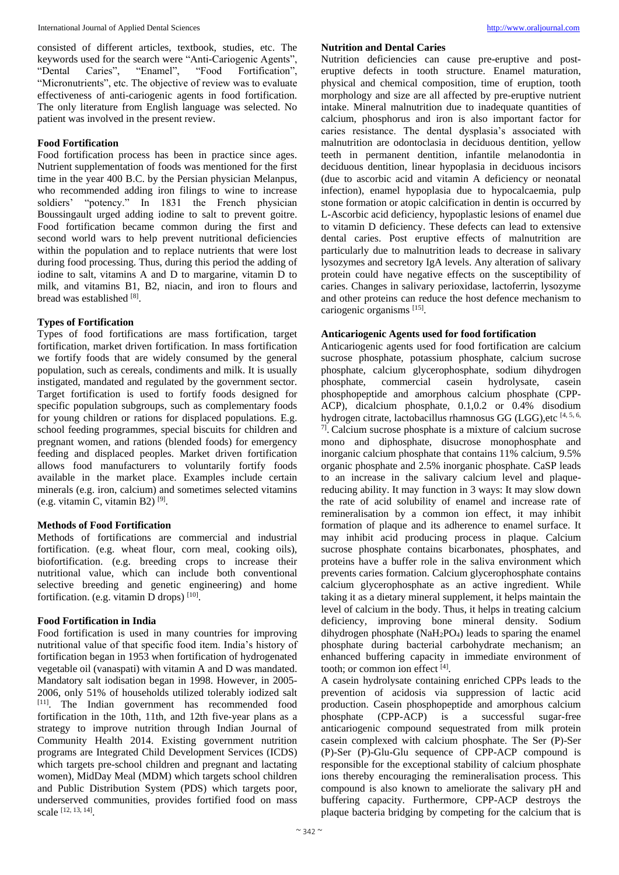consisted of different articles, textbook, studies, etc. The keywords used for the search were "Anti-Cariogenic Agents", "Dental Caries", "Enamel", "Food Fortification", "Micronutrients", etc. The objective of review was to evaluate effectiveness of anti-cariogenic agents in food fortification. The only literature from English language was selected. No patient was involved in the present review.

### **Food Fortification**

Food fortification process has been in practice since ages. Nutrient supplementation of foods was mentioned for the first time in the year 400 B.C. by the Persian physician Melanpus, who recommended adding iron filings to wine to increase soldiers' "potency." In 1831 the French physician Boussingault urged adding iodine to salt to prevent goitre. Food fortification became common during the first and second world wars to help prevent nutritional deficiencies within the population and to replace nutrients that were lost during food processing. Thus, during this period the adding of iodine to salt, vitamins A and D to margarine, vitamin D to milk, and vitamins B1, B2, niacin, and iron to flours and bread was established [8].

### **Types of Fortification**

Types of food fortifications are mass fortification, target fortification, market driven fortification. In mass fortification we fortify foods that are widely consumed by the general population, such as cereals, condiments and milk. It is usually instigated, mandated and regulated by the government sector. Target fortification is used to fortify foods designed for specific population subgroups, such as complementary foods for young children or rations for displaced populations. E.g. school feeding programmes, special biscuits for children and pregnant women, and rations (blended foods) for emergency feeding and displaced peoples. Market driven fortification allows food manufacturers to voluntarily fortify foods available in the market place. Examples include certain minerals (e.g. iron, calcium) and sometimes selected vitamins (e.g. vitamin C, vitamin B2) [9] .

### **Methods of Food Fortification**

Methods of fortifications are commercial and industrial fortification. (e.g. wheat flour, corn meal, cooking oils), biofortification. (e.g. breeding crops to increase their nutritional value, which can include both conventional selective breeding and genetic engineering) and home fortification. (e.g. vitamin D drops)  $[10]$ .

### **Food Fortification in India**

Food fortification is used in many countries for improving nutritional value of that specific food item. India's history of fortification began in 1953 when fortification of hydrogenated vegetable oil (vanaspati) with vitamin A and D was mandated. Mandatory salt iodisation began in 1998. However, in 2005- 2006, only 51% of households utilized tolerably iodized salt [11] . The Indian government has recommended food fortification in the 10th, 11th, and 12th five-year plans as a strategy to improve nutrition through Indian Journal of Community Health 2014. Existing government nutrition programs are Integrated Child Development Services (ICDS) which targets pre-school children and pregnant and lactating women), MidDay Meal (MDM) which targets school children and Public Distribution System (PDS) which targets poor, underserved communities, provides fortified food on mass scale [12, 13, 14] .

#### **Nutrition and Dental Caries**

Nutrition deficiencies can cause pre-eruptive and posteruptive defects in tooth structure. Enamel maturation, physical and chemical composition, time of eruption, tooth morphology and size are all affected by pre-eruptive nutrient intake. Mineral malnutrition due to inadequate quantities of calcium, phosphorus and iron is also important factor for caries resistance. The dental dysplasia's associated with malnutrition are odontoclasia in deciduous dentition, yellow teeth in permanent dentition, infantile melanodontia in deciduous dentition, linear hypoplasia in deciduous incisors (due to ascorbic acid and vitamin A deficiency or neonatal infection), enamel hypoplasia due to hypocalcaemia, pulp stone formation or atopic calcification in dentin is occurred by L-Ascorbic acid deficiency, hypoplastic lesions of enamel due to vitamin D deficiency. These defects can lead to extensive dental caries. Post eruptive effects of malnutrition are particularly due to malnutrition leads to decrease in salivary lysozymes and secretory IgA levels. Any alteration of salivary protein could have negative effects on the susceptibility of caries. Changes in salivary perioxidase, lactoferrin, lysozyme and other proteins can reduce the host defence mechanism to cariogenic organisms [15] .

### **Anticariogenic Agents used for food fortification**

Anticariogenic agents used for food fortification are calcium sucrose phosphate, potassium phosphate, calcium sucrose phosphate, calcium glycerophosphate, sodium dihydrogen phosphate, commercial casein hydrolysate, casein phosphopeptide and amorphous calcium phosphate (CPP-ACP), dicalcium phosphate, 0.1,0.2 or 0.4% disodium hydrogen citrate, lactobacillus rhamnosus GG (LGG),etc [4, 5, 6, 7] . Calcium sucrose phosphate is a mixture of calcium sucrose mono and diphosphate, disucrose monophosphate and inorganic calcium phosphate that contains 11% calcium, 9.5% organic phosphate and 2.5% inorganic phosphate. CaSP leads to an increase in the salivary calcium level and plaquereducing ability. It may function in 3 ways: It may slow down the rate of acid solubility of enamel and increase rate of remineralisation by a common ion effect, it may inhibit formation of plaque and its adherence to enamel surface. It may inhibit acid producing process in plaque. Calcium sucrose phosphate contains bicarbonates, phosphates, and proteins have a buffer role in the saliva environment which prevents caries formation. Calcium glycerophosphate contains calcium glycerophosphate as an active ingredient. While taking it as a dietary mineral supplement, it helps maintain the level of calcium in the body. Thus, it helps in treating calcium deficiency, improving bone mineral density. Sodium dihydrogen phosphate  $(NaH<sub>2</sub>PO<sub>4</sub>)$  leads to sparing the enamel phosphate during bacterial carbohydrate mechanism; an enhanced buffering capacity in immediate environment of tooth; or common ion effect [4].

A casein hydrolysate containing enriched CPPs leads to the prevention of acidosis via suppression of lactic acid production. Casein phosphopeptide and amorphous calcium phosphate (CPP-ACP) is a successful sugar-free anticariogenic compound sequestrated from milk protein casein complexed with calcium phosphate. The Ser (P)-Ser (P)-Ser (P)-Glu-Glu sequence of CPP-ACP compound is responsible for the exceptional stability of calcium phosphate ions thereby encouraging the remineralisation process. This compound is also known to ameliorate the salivary pH and buffering capacity. Furthermore, CPP-ACP destroys the plaque bacteria bridging by competing for the calcium that is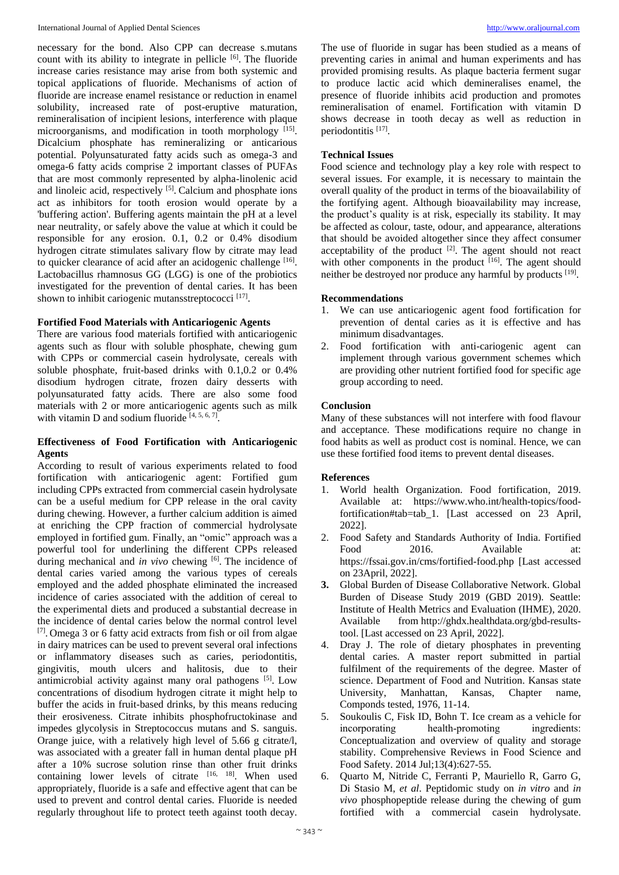necessary for the bond. Also CPP can decrease s.mutans count with its ability to integrate in pellicle [6]. The fluoride increase caries resistance may arise from both systemic and topical applications of fluoride. Mechanisms of action of fluoride are increase enamel resistance or reduction in enamel solubility, increased rate of post-eruptive maturation, remineralisation of incipient lesions, interference with plaque microorganisms, and modification in tooth morphology [15]. Dicalcium phosphate has remineralizing or anticarious potential. Polyunsaturated fatty acids such as omega-3 and omega-6 fatty acids comprise 2 important classes of PUFAs that are most commonly represented by alpha-linolenic acid and linoleic acid, respectively [5]. Calcium and phosphate ions act as inhibitors for tooth erosion would operate by a 'buffering action'. Buffering agents maintain the pH at a level near neutrality, or safely above the value at which it could be responsible for any erosion. 0.1, 0.2 or 0.4% disodium hydrogen citrate stimulates salivary flow by citrate may lead to quicker clearance of acid after an acidogenic challenge [16]. Lactobacillus rhamnosus GG (LGG) is one of the probiotics investigated for the prevention of dental caries. It has been shown to inhibit cariogenic mutansstreptococci<sup>[17]</sup>.

### **Fortified Food Materials with Anticariogenic Agents**

There are various food materials fortified with anticariogenic agents such as flour with soluble phosphate, chewing gum with CPPs or commercial casein hydrolysate, cereals with soluble phosphate, fruit-based drinks with 0.1,0.2 or 0.4% disodium hydrogen citrate, frozen dairy desserts with polyunsaturated fatty acids. There are also some food materials with 2 or more anticariogenic agents such as milk with vitamin D and sodium fluoride  $[4, 5, 6, 7]$ .

## **Effectiveness of Food Fortification with Anticariogenic Agents**

According to result of various experiments related to food fortification with anticariogenic agent: Fortified gum including CPPs extracted from commercial casein hydrolysate can be a useful medium for CPP release in the oral cavity during chewing. However, a further calcium addition is aimed at enriching the CPP fraction of commercial hydrolysate employed in fortified gum. Finally, an "omic" approach was a powerful tool for underlining the different CPPs released during mechanical and *in vivo* chewing <sup>[6]</sup>. The incidence of dental caries varied among the various types of cereals employed and the added phosphate eliminated the increased incidence of caries associated with the addition of cereal to the experimental diets and produced a substantial decrease in the incidence of dental caries below the normal control level [7]. Omega 3 or 6 fatty acid extracts from fish or oil from algae in dairy matrices can be used to prevent several oral infections or inflammatory diseases such as caries, periodontitis, gingivitis, mouth ulcers and halitosis, due to their antimicrobial activity against many oral pathogens [5]. Low concentrations of disodium hydrogen citrate it might help to buffer the acids in fruit-based drinks, by this means reducing their erosiveness. Citrate inhibits phosphofructokinase and impedes glycolysis in Streptococcus mutans and S. sanguis. Orange juice, with a relatively high level of 5.66 g citrate/l, was associated with a greater fall in human dental plaque pH after a 10% sucrose solution rinse than other fruit drinks containing lower levels of citrate  $[16, 18]$ . When used appropriately, fluoride is a safe and effective agent that can be used to prevent and control dental caries. Fluoride is needed regularly throughout life to protect teeth against tooth decay.

The use of fluoride in sugar has been studied as a means of preventing caries in animal and human experiments and has provided promising results. As plaque bacteria ferment sugar to produce lactic acid which demineralises enamel, the presence of fluoride inhibits acid production and promotes remineralisation of enamel. Fortification with vitamin D shows decrease in tooth decay as well as reduction in periodontitis<sup>[17]</sup>.

# **Technical Issues**

Food science and technology play a key role with respect to several issues. For example, it is necessary to maintain the overall quality of the product in terms of the bioavailability of the fortifying agent. Although bioavailability may increase, the product's quality is at risk, especially its stability. It may be affected as colour, taste, odour, and appearance, alterations that should be avoided altogether since they affect consumer acceptability of the product  $[2]$ . The agent should not react with other components in the product  $[16]$ . The agent should neither be destroyed nor produce any harmful by products [19].

# **Recommendations**

- 1. We can use anticariogenic agent food fortification for prevention of dental caries as it is effective and has minimum disadvantages.
- 2. Food fortification with anti-cariogenic agent can implement through various government schemes which are providing other nutrient fortified food for specific age group according to need.

# **Conclusion**

Many of these substances will not interfere with food flavour and acceptance. These modifications require no change in food habits as well as product cost is nominal. Hence, we can use these fortified food items to prevent dental diseases.

# **References**

- 1. World health Organization. Food fortification, 2019. Available at: https://www.who.int/health-topics/foodfortification#tab=tab\_1. [Last accessed on 23 April, 2022].
- 2. Food Safety and Standards Authority of India. Fortified Food 2016. Available at: https://fssai.gov.in/cms/fortified-food.php [Last accessed on 23April, 2022].
- **3.** Global Burden of Disease Collaborative Network. Global Burden of Disease Study 2019 (GBD 2019). Seattle: Institute of Health Metrics and Evaluation (IHME), 2020. Available from http://ghdx.healthdata.org/gbd-resultstool. [Last accessed on 23 April, 2022].
- 4. Dray J. The role of dietary phosphates in preventing dental caries. A master report submitted in partial fulfilment of the requirements of the degree. Master of science. Department of Food and Nutrition. Kansas state University, Manhattan, Kansas, Chapter name, Componds tested, 1976, 11-14.
- 5. Soukoulis C, Fisk ID, Bohn T. Ice cream as a vehicle for incorporating health-promoting ingredients: Conceptualization and overview of quality and storage stability. Comprehensive Reviews in Food Science and Food Safety. 2014 Jul;13(4):627-55.
- 6. Quarto M, Nitride C, Ferranti P, Mauriello R, Garro G, Di Stasio M, *et al*. Peptidomic study on *in vitro* and *in vivo* phosphopeptide release during the chewing of gum fortified with a commercial casein hydrolysate.